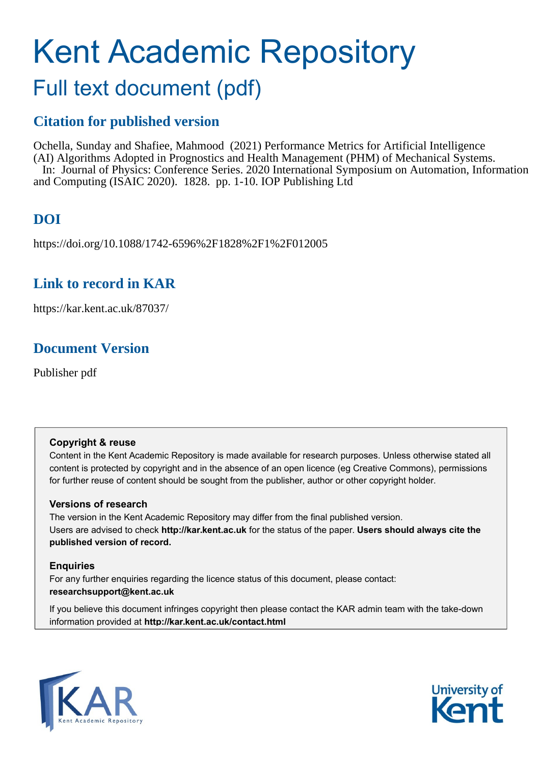# Kent Academic Repository

## Full text document (pdf)

## **Citation for published version**

Ochella, Sunday and Shafiee, Mahmood (2021) Performance Metrics for Artificial Intelligence (AI) Algorithms Adopted in Prognostics and Health Management (PHM) of Mechanical Systems. In: Journal of Physics: Conference Series. 2020 International Symposium on Automation, Information and Computing (ISAIC 2020). 1828. pp. 1-10. IOP Publishing Ltd

## **DOI**

https://doi.org/10.1088/1742-6596%2F1828%2F1%2F012005

## **Link to record in KAR**

https://kar.kent.ac.uk/87037/

## **Document Version**

Publisher pdf

#### **Copyright & reuse**

Content in the Kent Academic Repository is made available for research purposes. Unless otherwise stated all content is protected by copyright and in the absence of an open licence (eg Creative Commons), permissions for further reuse of content should be sought from the publisher, author or other copyright holder.

#### **Versions of research**

The version in the Kent Academic Repository may differ from the final published version. Users are advised to check **http://kar.kent.ac.uk** for the status of the paper. **Users should always cite the published version of record.**

#### **Enquiries**

For any further enquiries regarding the licence status of this document, please contact: **researchsupport@kent.ac.uk**

If you believe this document infringes copyright then please contact the KAR admin team with the take-down information provided at **http://kar.kent.ac.uk/contact.html**



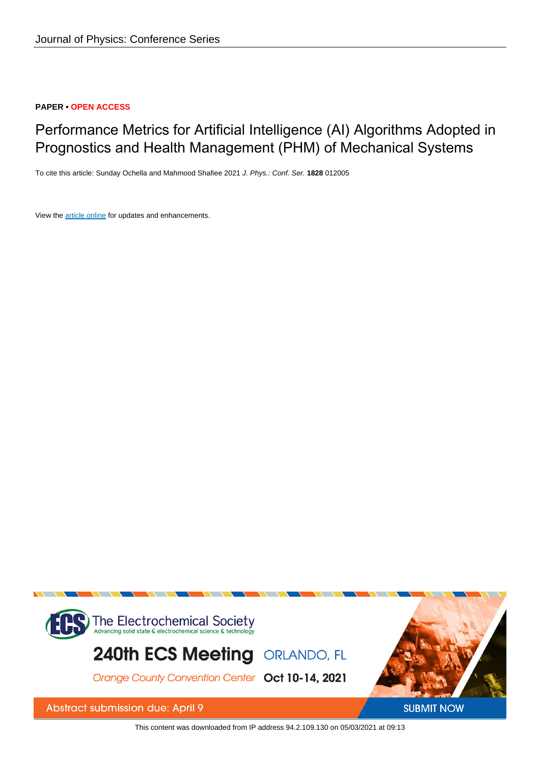#### **PAPER • OPEN ACCESS**

## Performance Metrics for Artificial Intelligence (AI) Algorithms Adopted in Prognostics and Health Management (PHM) of Mechanical Systems

To cite this article: Sunday Ochella and Mahmood Shafiee 2021 J. Phys.: Conf. Ser. **1828** 012005

View the [article online](https://doi.org/10.1088/1742-6596/1828/1/012005) for updates and enhancements.



This content was downloaded from IP address 94.2.109.130 on 05/03/2021 at 09:13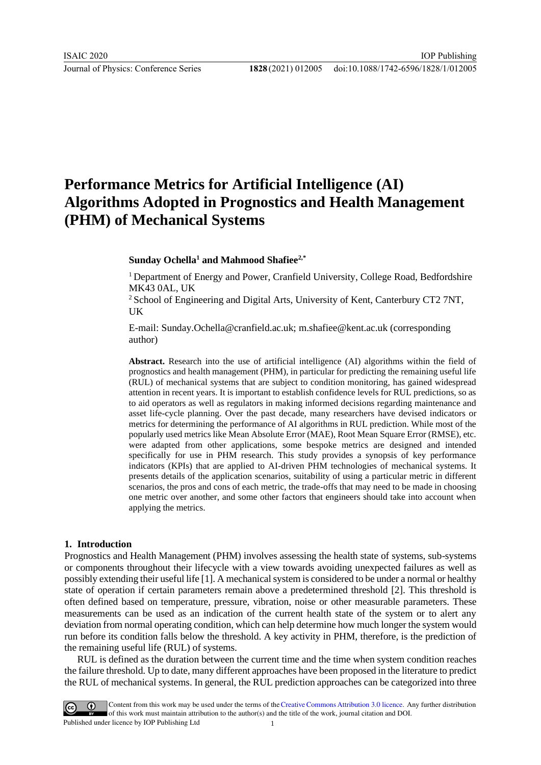## **Performance Metrics for Artificial Intelligence (AI) Algorithms Adopted in Prognostics and Health Management (PHM) of Mechanical Systems**

#### **Sunday Ochella<sup>1</sup> and Mahmood Shafiee2,\***

<sup>1</sup> Department of Energy and Power, Cranfield University, College Road, Bedfordshire MK43 0AL, UK

<sup>2</sup> School of Engineering and Digital Arts, University of Kent, Canterbury CT2 7NT, UK

E-mail: Sunday.Ochella@cranfield.ac.uk; m.shafiee@kent.ac.uk (corresponding author)

**Abstract.** Research into the use of artificial intelligence (AI) algorithms within the field of prognostics and health management (PHM), in particular for predicting the remaining useful life (RUL) of mechanical systems that are subject to condition monitoring, has gained widespread attention in recent years. It is important to establish confidence levels for RUL predictions, so as to aid operators as well as regulators in making informed decisions regarding maintenance and asset life-cycle planning. Over the past decade, many researchers have devised indicators or metrics for determining the performance of AI algorithms in RUL prediction. While most of the popularly used metrics like Mean Absolute Error (MAE), Root Mean Square Error (RMSE), etc. were adapted from other applications, some bespoke metrics are designed and intended specifically for use in PHM research. This study provides a synopsis of key performance indicators (KPIs) that are applied to AI-driven PHM technologies of mechanical systems. It presents details of the application scenarios, suitability of using a particular metric in different scenarios, the pros and cons of each metric, the trade-offs that may need to be made in choosing one metric over another, and some other factors that engineers should take into account when applying the metrics.

#### **1. Introduction**

Prognostics and Health Management (PHM) involves assessing the health state of systems, sub-systems or components throughout their lifecycle with a view towards avoiding unexpected failures as well as possibly extending their useful life [1]. A mechanical system is considered to be under a normal or healthy state of operation if certain parameters remain above a predetermined threshold [2]. This threshold is often defined based on temperature, pressure, vibration, noise or other measurable parameters. These measurements can be used as an indication of the current health state of the system or to alert any deviation from normal operating condition, which can help determine how much longer the system would run before its condition falls below the threshold. A key activity in PHM, therefore, is the prediction of the remaining useful life (RUL) of systems.

RUL is defined as the duration between the current time and the time when system condition reaches the failure threshold. Up to date, many different approaches have been proposed in the literature to predict the RUL of mechanical systems. In general, the RUL prediction approaches can be categorized into three

Content from this work may be used under the terms of theCreative Commons Attribution 3.0 licence. Any further distribution of this work must maintain attribution to the author(s) and the title of the work, journal citation and DOI. Published under licence by IOP Publishing Ltd 1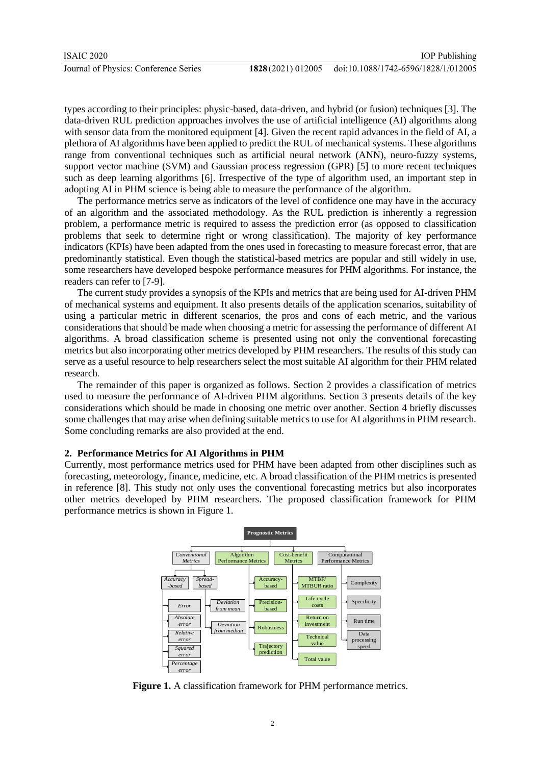types according to their principles: physic-based, data-driven, and hybrid (or fusion) techniques [3]. The data-driven RUL prediction approaches involves the use of artificial intelligence (AI) algorithms along with sensor data from the monitored equipment [4]. Given the recent rapid advances in the field of AI, a plethora of AI algorithms have been applied to predict the RUL of mechanical systems. These algorithms range from conventional techniques such as artificial neural network (ANN), neuro-fuzzy systems, support vector machine (SVM) and Gaussian process regression (GPR) [5] to more recent techniques such as deep learning algorithms [6]. Irrespective of the type of algorithm used, an important step in adopting AI in PHM science is being able to measure the performance of the algorithm.

The performance metrics serve as indicators of the level of confidence one may have in the accuracy of an algorithm and the associated methodology. As the RUL prediction is inherently a regression problem, a performance metric is required to assess the prediction error (as opposed to classification problems that seek to determine right or wrong classification). The majority of key performance indicators (KPIs) have been adapted from the ones used in forecasting to measure forecast error, that are predominantly statistical. Even though the statistical-based metrics are popular and still widely in use, some researchers have developed bespoke performance measures for PHM algorithms. For instance, the readers can refer to [7-9].

The current study provides a synopsis of the KPIs and metrics that are being used for AI-driven PHM of mechanical systems and equipment. It also presents details of the application scenarios, suitability of using a particular metric in different scenarios, the pros and cons of each metric, and the various considerations that should be made when choosing a metric for assessing the performance of different AI algorithms. A broad classification scheme is presented using not only the conventional forecasting metrics but also incorporating other metrics developed by PHM researchers. The results of this study can serve as a useful resource to help researchers select the most suitable AI algorithm for their PHM related research.

The remainder of this paper is organized as follows. Section 2 provides a classification of metrics used to measure the performance of AI-driven PHM algorithms. Section 3 presents details of the key considerations which should be made in choosing one metric over another. Section 4 briefly discusses some challenges that may arise when defining suitable metrics to use for AI algorithms in PHM research. Some concluding remarks are also provided at the end.

#### **2. Performance Metrics for AI Algorithms in PHM**

Currently, most performance metrics used for PHM have been adapted from other disciplines such as forecasting, meteorology, finance, medicine, etc. A broad classification of the PHM metrics is presented in reference [8]. This study not only uses the conventional forecasting metrics but also incorporates other metrics developed by PHM researchers. The proposed classification framework for PHM performance metrics is shown in Figure 1.



**Figure 1.** A classification framework for PHM performance metrics.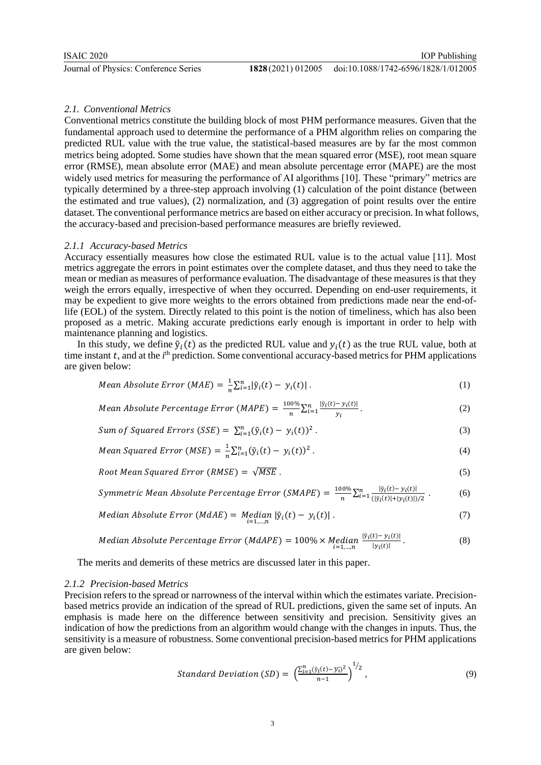#### *2.1. Conventional Metrics*

Conventional metrics constitute the building block of most PHM performance measures. Given that the fundamental approach used to determine the performance of a PHM algorithm relies on comparing the predicted RUL value with the true value, the statistical-based measures are by far the most common metrics being adopted. Some studies have shown that the mean squared error (MSE), root mean square error (RMSE), mean absolute error (MAE) and mean absolute percentage error (MAPE) are the most widely used metrics for measuring the performance of AI algorithms [10]. These "primary" metrics are typically determined by a three-step approach involving (1) calculation of the point distance (between the estimated and true values), (2) normalization, and (3) aggregation of point results over the entire dataset. The conventional performance metrics are based on either accuracy or precision. In what follows, the accuracy-based and precision-based performance measures are briefly reviewed.

#### *2.1.1 Accuracy-based Metrics*

Accuracy essentially measures how close the estimated RUL value is to the actual value [11]. Most metrics aggregate the errors in point estimates over the complete dataset, and thus they need to take the mean or median as measures of performance evaluation. The disadvantage of these measures is that they weigh the errors equally, irrespective of when they occurred. Depending on end-user requirements, it may be expedient to give more weights to the errors obtained from predictions made near the end-oflife (EOL) of the system. Directly related to this point is the notion of timeliness, which has also been proposed as a metric. Making accurate predictions early enough is important in order to help with maintenance planning and logistics.

In this study, we define  $\tilde{y}_i(t)$  as the predicted RUL value and  $y_i(t)$  as the true RUL value, both at time instant  $t$ , and at the  $i<sup>th</sup>$  prediction. Some conventional accuracy-based metrics for PHM applications are given below:

Mean Absolute Error (MAE) = 
$$
\frac{1}{n} \sum_{i=1}^{n} |\tilde{y}_i(t) - y_i(t)|.
$$
 (1)

Mean Absolute Percentage Error (MAPE) = 
$$
\frac{100\%}{n} \sum_{i=1}^{n} \frac{|\tilde{y}_i(t) - y_i(t)|}{y_i}.
$$
 (2)

Sum of Squared Errors 
$$
(SSE) = \sum_{i=1}^{n} (\tilde{y}_i(t) - y_i(t))^2
$$
. (3)

Mean Squared Error (MSE) = 
$$
\frac{1}{n} \sum_{i=1}^{n} (\tilde{y}_i(t) - y_i(t))^2
$$
. (4)

Root Mean Squared Error (RMSE) = 
$$
\sqrt{MSE}
$$
. (5)

Symmetric Mean Absolute Percentage Error (SMAPE) = 
$$
\frac{100\%}{n} \sum_{i=1}^{n} \frac{|\tilde{y}_i(t) - y_i(t)|}{(|\tilde{y}_i(t)| + |y_i(t)|)/2}
$$
 (6)

Median Absolute Error (M dAE) = Median 
$$
|\tilde{y}_i(t) - y_i(t)|
$$
. (7)

Median Absolute Percentage Error (MdAPE) = 100% × Median 
$$
\frac{|\tilde{y}_i(t) - y_i(t)|}{|y_i(t)|}
$$
. (8)

The merits and demerits of these metrics are discussed later in this paper.

#### *2.1.2 Precision-based Metrics*

Precision refers to the spread or narrowness of the interval within which the estimates variate. Precisionbased metrics provide an indication of the spread of RUL predictions, given the same set of inputs. An emphasis is made here on the difference between sensitivity and precision. Sensitivity gives an indication of how the predictions from an algorithm would change with the changes in inputs. Thus, the sensitivity is a measure of robustness. Some conventional precision-based metrics for PHM applications are given below:

Standard Deviation (SD) = 
$$
\left(\frac{\sum_{i=1}^{n} (\tilde{y}_i(t) - \overline{y}_i)^2}{n-1}\right)^{1/2},
$$
 (9)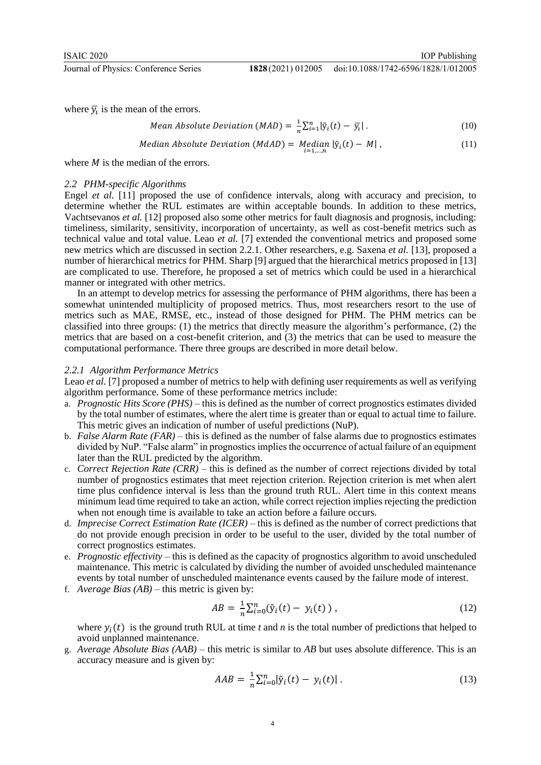where  $\overline{y}_i$  is the mean of the errors.

Mean Absolute Deviation (MAD) = 
$$
\frac{1}{n} \sum_{i=1}^{n} |\tilde{y}_i(t) - \overline{y}_i|.
$$
 (10)

Median Absolute Deviation (MdAD) = Median 
$$
|\tilde{y}_i(t) - M|
$$
, (11)

where  $M$  is the median of the errors.

#### *2.2 PHM-specific Algorithms*

Engel *et al.* [11] proposed the use of confidence intervals, along with accuracy and precision, to determine whether the RUL estimates are within acceptable bounds. In addition to these metrics, Vachtsevanos *et al.* [12] proposed also some other metrics for fault diagnosis and prognosis, including: timeliness, similarity, sensitivity, incorporation of uncertainty, as well as cost-benefit metrics such as technical value and total value. Leao *et al.* [7] extended the conventional metrics and proposed some new metrics which are discussed in section 2.2.1. Other researchers, e.g. Saxena *et al.* [13], proposed a number of hierarchical metrics for PHM. Sharp [9] argued that the hierarchical metrics proposed in [13] are complicated to use. Therefore, he proposed a set of metrics which could be used in a hierarchical manner or integrated with other metrics.

In an attempt to develop metrics for assessing the performance of PHM algorithms, there has been a somewhat unintended multiplicity of proposed metrics. Thus, most researchers resort to the use of metrics such as MAE, RMSE, etc., instead of those designed for PHM. The PHM metrics can be classified into three groups: (1) the metrics that directly measure the algorithm's performance, (2) the metrics that are based on a cost-benefit criterion, and (3) the metrics that can be used to measure the computational performance. There three groups are described in more detail below.

#### *2.2.1 Algorithm Performance Metrics*

Leao *et al.* [7] proposed a number of metrics to help with defining user requirements as well as verifying algorithm performance. Some of these performance metrics include:

- a. *Prognostic Hits Score (PHS)* this is defined as the number of correct prognostics estimates divided by the total number of estimates, where the alert time is greater than or equal to actual time to failure. This metric gives an indication of number of useful predictions (NuP).
- b. *False Alarm Rate (FAR)* this is defined as the number of false alarms due to prognostics estimates divided by NuP. "False alarm" in prognostics implies the occurrence of actual failure of an equipment later than the RUL predicted by the algorithm.
- c. *Correct Rejection Rate (CRR)* this is defined as the number of correct rejections divided by total number of prognostics estimates that meet rejection criterion. Rejection criterion is met when alert time plus confidence interval is less than the ground truth RUL. Alert time in this context means minimum lead time required to take an action, while correct rejection implies rejecting the prediction when not enough time is available to take an action before a failure occurs.
- d. *Imprecise Correct Estimation Rate (ICER)* this is defined as the number of correct predictions that do not provide enough precision in order to be useful to the user, divided by the total number of correct prognostics estimates.
- e. *Prognostic effectivity* this is defined as the capacity of prognostics algorithm to avoid unscheduled maintenance. This metric is calculated by dividing the number of avoided unscheduled maintenance events by total number of unscheduled maintenance events caused by the failure mode of interest.
- f. *Average Bias (AB)* this metric is given by:

$$
AB = \frac{1}{n} \sum_{i=0}^{n} (\tilde{y}_i(t) - y_i(t)), \qquad (12)
$$

where  $y_i(t)$  is the ground truth RUL at time *t* and *n* is the total number of predictions that helped to avoid unplanned maintenance.

g. *Average Absolute Bias (AAB)* – this metric is similar to *AB* but uses absolute difference. This is an accuracy measure and is given by:

$$
AAB = \frac{1}{n} \sum_{i=0}^{n} |\tilde{y}_i(t) - y_i(t)|.
$$
 (13)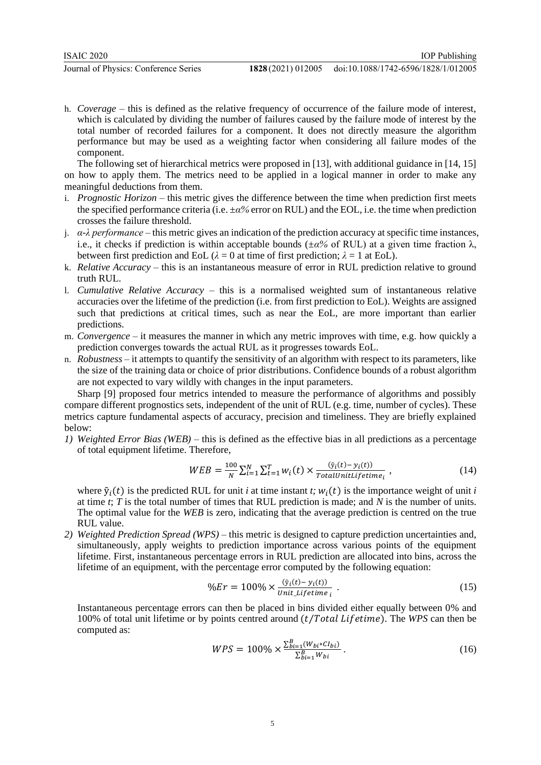- doi:10.1088/1742-6596/1828/1/012005
- h. *Coverage* this is defined as the relative frequency of occurrence of the failure mode of interest, which is calculated by dividing the number of failures caused by the failure mode of interest by the total number of recorded failures for a component. It does not directly measure the algorithm performance but may be used as a weighting factor when considering all failure modes of the component.

The following set of hierarchical metrics were proposed in [13], with additional guidance in [14, 15] on how to apply them. The metrics need to be applied in a logical manner in order to make any meaningful deductions from them.

- i. *Prognostic Horizon* this metric gives the difference between the time when prediction first meets the specified performance criteria (i.e. ±*α%* error on RUL) and the EOL, i.e. the time when prediction crosses the failure threshold.
- j. *α-λ performance* this metric gives an indication of the prediction accuracy at specific time instances, i.e., it checks if prediction is within acceptable bounds (±*α%* of RUL) at a given time fraction λ, between first prediction and EoL ( $\lambda = 0$  at time of first prediction;  $\lambda = 1$  at EoL).
- k. *Relative Accuracy* this is an instantaneous measure of error in RUL prediction relative to ground truth RUL.
- l. *Cumulative Relative Accuracy* this is a normalised weighted sum of instantaneous relative accuracies over the lifetime of the prediction (i.e. from first prediction to EoL). Weights are assigned such that predictions at critical times, such as near the EoL, are more important than earlier predictions.
- m. *Convergence* it measures the manner in which any metric improves with time, e.g. how quickly a prediction converges towards the actual RUL as it progresses towards EoL.
- n. *Robustness* it attempts to quantify the sensitivity of an algorithm with respect to its parameters, like the size of the training data or choice of prior distributions. Confidence bounds of a robust algorithm are not expected to vary wildly with changes in the input parameters.

Sharp [9] proposed four metrics intended to measure the performance of algorithms and possibly compare different prognostics sets, independent of the unit of RUL (e.g. time, number of cycles). These metrics capture fundamental aspects of accuracy, precision and timeliness. They are briefly explained below:

*1) Weighted Error Bias (WEB)* – this is defined as the effective bias in all predictions as a percentage of total equipment lifetime. Therefore,

$$
WEB = \frac{100}{N} \sum_{i=1}^{N} \sum_{t=1}^{T} w_i(t) \times \frac{(\tilde{y}_i(t) - y_i(t))}{\text{TotalUnitLifetime}_i},\tag{14}
$$

where  $\tilde{y}_i(t)$  is the predicted RUL for unit *i* at time instant *t*;  $w_i(t)$  is the importance weight of unit *i* at time  $t$ ;  $T$  is the total number of times that RUL prediction is made; and  $\overline{N}$  is the number of units. The optimal value for the *WEB* is zero, indicating that the average prediction is centred on the true RUL value.

*2) Weighted Prediction Spread (WPS)* – this metric is designed to capture prediction uncertainties and, simultaneously, apply weights to prediction importance across various points of the equipment lifetime. First, instantaneous percentage errors in RUL prediction are allocated into bins, across the lifetime of an equipment, with the percentage error computed by the following equation:

$$
\%Er = 100\% \times \frac{(\tilde{y}_i(t) - y_i(t))}{Unit\_Lifetime_i} \tag{15}
$$

Instantaneous percentage errors can then be placed in bins divided either equally between 0% and 100% of total unit lifetime or by points centred around (t/Total Lifetime). The WPS can then be computed as:

$$
WPS = 100\% \times \frac{\sum_{bi=1}^{B} (W_{bi} * CI_{bi})}{\sum_{bi=1}^{B} W_{bi}}.
$$
\n(16)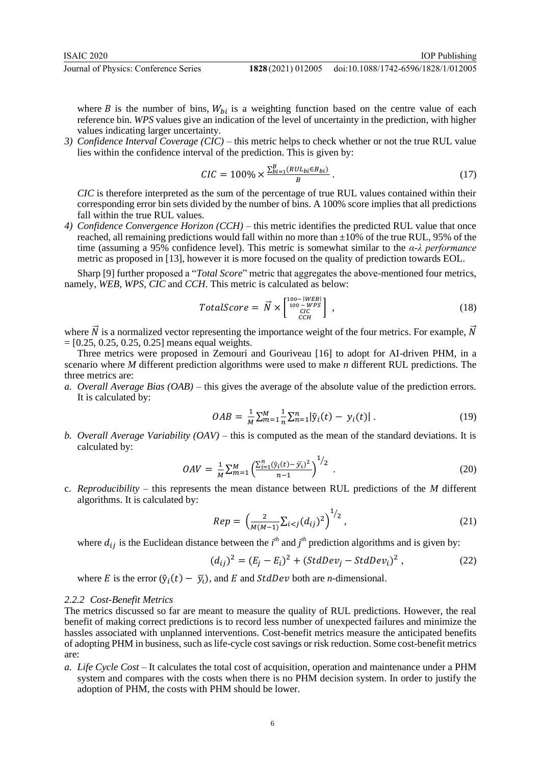where  $B$  is the number of bins,  $W_{bi}$  is a weighting function based on the centre value of each reference bin. *WPS* values give an indication of the level of uncertainty in the prediction, with higher values indicating larger uncertainty.

*3) Confidence Interval Coverage (CIC)* – this metric helps to check whether or not the true RUL value lies within the confidence interval of the prediction. This is given by:

$$
CIC = 100\% \times \frac{\sum_{bi=1}^{B} (RUL_{bi} \in B_{bi})}{B} \,. \tag{17}
$$

*CIC* is therefore interpreted as the sum of the percentage of true RUL values contained within their corresponding error bin sets divided by the number of bins. A 100% score implies that all predictions fall within the true RUL values.

*4) Confidence Convergence Horizon (CCH)* – this metric identifies the predicted RUL value that once reached, all remaining predictions would fall within no more than  $\pm 10\%$  of the true RUL, 95% of the time (assuming a 95% confidence level). This metric is somewhat similar to the *α-λ performance*  metric as proposed in [13], however it is more focused on the quality of prediction towards EOL.

Sharp [9] further proposed a "*Total Score*" metric that aggregates the above-mentioned four metrics, namely, *WEB, WPS, CIC* and *CCH*. This metric is calculated as below:

$$
TotalScore = \vec{N} \times \begin{bmatrix} \frac{100 - |WEB|}{100 - WPS} \\ \frac{CIC}{CCH} \end{bmatrix}, \qquad (18)
$$

where  $\vec{N}$  is a normalized vector representing the importance weight of the four metrics. For example,  $\vec{N}$  $=[0.25, 0.25, 0.25, 0.25]$  means equal weights.

Three metrics were proposed in Zemouri and Gouriveau [16] to adopt for AI-driven PHM, in a scenario where *M* different prediction algorithms were used to make *n* different RUL predictions. The three metrics are:

*a. Overall Average Bias (OAB)* – this gives the average of the absolute value of the prediction errors. It is calculated by:

$$
OAB = \frac{1}{M} \sum_{m=1}^{M} \frac{1}{n} \sum_{n=1}^{n} |\tilde{y}_i(t) - y_i(t)|. \tag{19}
$$

*b. Overall Average Variability (OAV) –* this is computed as the mean of the standard deviations. It is calculated by:

$$
OAV = \frac{1}{M} \sum_{m=1}^{M} \left( \frac{\sum_{i=1}^{n} (\tilde{y}_i(t) - \bar{y}_i)^2}{n - 1} \right)^{1/2} . \tag{20}
$$

 $\overline{1}$ 

c. *Reproducibility –* this represents the mean distance between RUL predictions of the *M* different algorithms. It is calculated by:

$$
Rep = \left(\frac{2}{M(M-1)} \sum_{i < j} (d_{ij})^2\right)^{1/2},\tag{21}
$$

where  $d_{ij}$  is the Euclidean distance between the  $i^{th}$  and  $j^{th}$  prediction algorithms and is given by:

$$
(d_{ij})^2 = (E_j - E_i)^2 + (StdDev_j - StdDev_i)^2, \qquad (22)
$$

where *E* is the error  $(\tilde{y}_i(t) - \overline{y}_i)$ , and *E* and *StdDev* both are *n*-dimensional.

#### *2.2.2 Cost-Benefit Metrics*

The metrics discussed so far are meant to measure the quality of RUL predictions. However, the real benefit of making correct predictions is to record less number of unexpected failures and minimize the hassles associated with unplanned interventions. Cost-benefit metrics measure the anticipated benefits of adopting PHM in business, such as life-cycle cost savings or risk reduction. Some cost-benefit metrics are:

*a. Life Cycle Cost –* It calculates the total cost of acquisition, operation and maintenance under a PHM system and compares with the costs when there is no PHM decision system. In order to justify the adoption of PHM, the costs with PHM should be lower.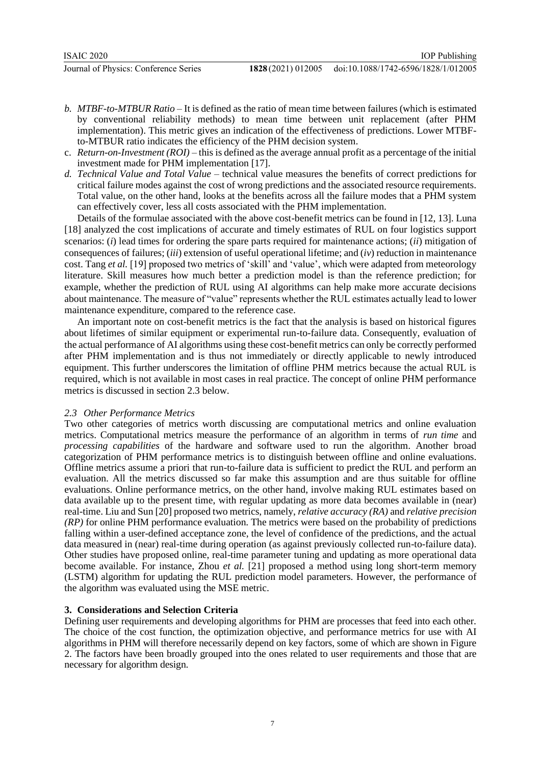IOP Publishing

- *b. MTBF-to-MTBUR Ratio –* It is defined as the ratio of mean time between failures (which is estimated by conventional reliability methods) to mean time between unit replacement (after PHM implementation). This metric gives an indication of the effectiveness of predictions. Lower MTBFto-MTBUR ratio indicates the efficiency of the PHM decision system.
- c. *Return-on-Investment (ROI) –* this is defined as the average annual profit as a percentage of the initial investment made for PHM implementation [17].
- *d. Technical Value and Total Value –* technical value measures the benefits of correct predictions for critical failure modes against the cost of wrong predictions and the associated resource requirements. Total value, on the other hand, looks at the benefits across all the failure modes that a PHM system can effectively cover, less all costs associated with the PHM implementation.

Details of the formulae associated with the above cost-benefit metrics can be found in [12, 13]. Luna [18] analyzed the cost implications of accurate and timely estimates of RUL on four logistics support scenarios: (*i*) lead times for ordering the spare parts required for maintenance actions; (*ii*) mitigation of consequences of failures; (*iii*) extension of useful operational lifetime; and (*iv*) reduction in maintenance cost. Tang *et al.* [19] proposed two metrics of 'skill' and 'value', which were adapted from meteorology literature. Skill measures how much better a prediction model is than the reference prediction; for example, whether the prediction of RUL using AI algorithms can help make more accurate decisions about maintenance. The measure of "value" represents whether the RUL estimates actually lead to lower maintenance expenditure, compared to the reference case.

An important note on cost-benefit metrics is the fact that the analysis is based on historical figures about lifetimes of similar equipment or experimental run-to-failure data. Consequently, evaluation of the actual performance of AI algorithms using these cost-benefit metrics can only be correctly performed after PHM implementation and is thus not immediately or directly applicable to newly introduced equipment. This further underscores the limitation of offline PHM metrics because the actual RUL is required, which is not available in most cases in real practice. The concept of online PHM performance metrics is discussed in section 2.3 below.

#### *2.3 Other Performance Metrics*

Two other categories of metrics worth discussing are computational metrics and online evaluation metrics. Computational metrics measure the performance of an algorithm in terms of *run time* and *processing capabilities* of the hardware and software used to run the algorithm. Another broad categorization of PHM performance metrics is to distinguish between offline and online evaluations. Offline metrics assume a priori that run-to-failure data is sufficient to predict the RUL and perform an evaluation. All the metrics discussed so far make this assumption and are thus suitable for offline evaluations. Online performance metrics, on the other hand, involve making RUL estimates based on data available up to the present time, with regular updating as more data becomes available in (near) real-time. Liu and Sun [20] proposed two metrics, namely, *relative accuracy (RA)* and *relative precision (RP)* for online PHM performance evaluation. The metrics were based on the probability of predictions falling within a user-defined acceptance zone, the level of confidence of the predictions, and the actual data measured in (near) real-time during operation (as against previously collected run-to-failure data). Other studies have proposed online, real-time parameter tuning and updating as more operational data become available. For instance, Zhou *et al.* [21] proposed a method using long short-term memory (LSTM) algorithm for updating the RUL prediction model parameters. However, the performance of the algorithm was evaluated using the MSE metric.

#### **3. Considerations and Selection Criteria**

Defining user requirements and developing algorithms for PHM are processes that feed into each other. The choice of the cost function, the optimization objective, and performance metrics for use with AI algorithms in PHM will therefore necessarily depend on key factors, some of which are shown in Figure 2. The factors have been broadly grouped into the ones related to user requirements and those that are necessary for algorithm design.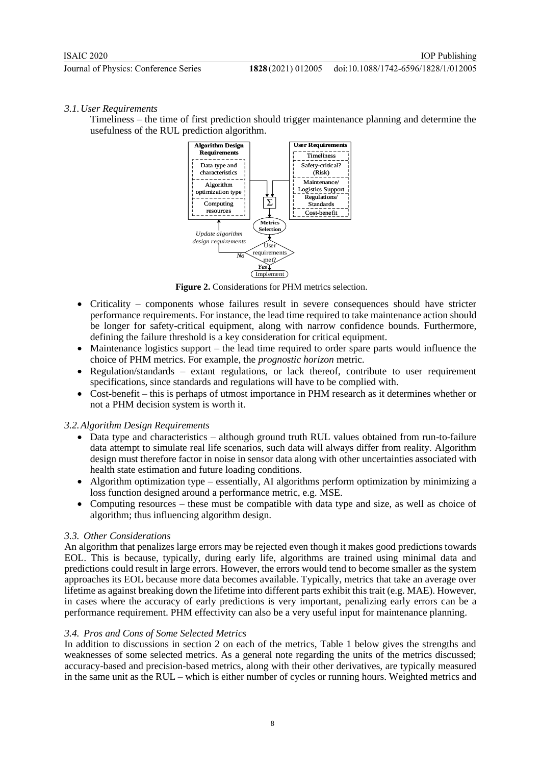#### *3.1.User Requirements*

Timeliness *–* the time of first prediction should trigger maintenance planning and determine the usefulness of the RUL prediction algorithm.



**Figure 2.** Considerations for PHM metrics selection.

- Criticality *–* components whose failures result in severe consequences should have stricter performance requirements. For instance, the lead time required to take maintenance action should be longer for safety-critical equipment, along with narrow confidence bounds. Furthermore, defining the failure threshold is a key consideration for critical equipment.
- Maintenance logistics support the lead time required to order spare parts would influence the choice of PHM metrics. For example, the *prognostic horizon* metric.
- Regulation/standards *–* extant regulations, or lack thereof, contribute to user requirement specifications, since standards and regulations will have to be complied with.
- Cost-benefit *–* this is perhaps of utmost importance in PHM research as it determines whether or not a PHM decision system is worth it.

#### *3.2.Algorithm Design Requirements*

- Data type and characteristics *–* although ground truth RUL values obtained from run-to-failure data attempt to simulate real life scenarios, such data will always differ from reality. Algorithm design must therefore factor in noise in sensor data along with other uncertainties associated with health state estimation and future loading conditions.
- Algorithm optimization type *–* essentially, AI algorithms perform optimization by minimizing a loss function designed around a performance metric, e.g. MSE.
- Computing resources *–* these must be compatible with data type and size, as well as choice of algorithm; thus influencing algorithm design.

#### *3.3. Other Considerations*

An algorithm that penalizes large errors may be rejected even though it makes good predictions towards EOL. This is because, typically, during early life, algorithms are trained using minimal data and predictions could result in large errors. However, the errors would tend to become smaller as the system approaches its EOL because more data becomes available. Typically, metrics that take an average over lifetime as against breaking down the lifetime into different parts exhibit this trait (e.g. MAE). However, in cases where the accuracy of early predictions is very important, penalizing early errors can be a performance requirement. PHM effectivity can also be a very useful input for maintenance planning.

#### *3.4. Pros and Cons of Some Selected Metrics*

In addition to discussions in section 2 on each of the metrics, Table 1 below gives the strengths and weaknesses of some selected metrics. As a general note regarding the units of the metrics discussed; accuracy-based and precision-based metrics, along with their other derivatives, are typically measured in the same unit as the RUL – which is either number of cycles or running hours. Weighted metrics and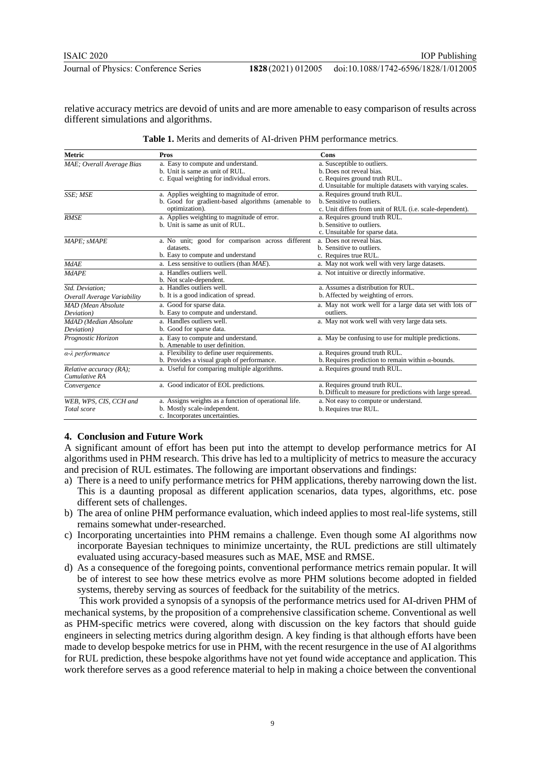relative accuracy metrics are devoid of units and are more amenable to easy comparison of results across different simulations and algorithms.

| <b>Metric</b>               | Pros                                                                                              | Cons                                                       |
|-----------------------------|---------------------------------------------------------------------------------------------------|------------------------------------------------------------|
| MAE; Overall Average Bias   | a. Easy to compute and understand.<br>b. Unit is same as unit of RUL.                             | a. Susceptible to outliers.<br>b. Does not reveal bias.    |
|                             | c. Equal weighting for individual errors.                                                         | c. Requires ground truth RUL.                              |
|                             |                                                                                                   | d. Unsuitable for multiple datasets with varying scales.   |
| SSE; MSE                    |                                                                                                   | a. Requires ground truth RUL.                              |
|                             | a. Applies weighting to magnitude of error.<br>b. Good for gradient-based algorithms (amenable to | b. Sensitive to outliers.                                  |
|                             | optimization).                                                                                    | c. Unit differs from unit of RUL (i.e. scale-dependent).   |
| <b>RMSE</b>                 | a. Applies weighting to magnitude of error.                                                       | a. Requires ground truth RUL.                              |
|                             | b. Unit is same as unit of RUL.                                                                   | b. Sensitive to outliers.                                  |
|                             |                                                                                                   | c. Unsuitable for sparse data.                             |
| MAPE; sMAPE                 | a. No unit; good for comparison across different                                                  | a. Does not reveal bias.                                   |
|                             | datasets.                                                                                         | b. Sensitive to outliers.                                  |
|                             | b. Easy to compute and understand                                                                 | c. Requires true RUL.                                      |
| <b>MdAE</b>                 | a. Less sensitive to outliers (than MAE).                                                         | a. May not work well with very large datasets.             |
| <b>MdAPE</b>                | a. Handles outliers well.                                                                         | a. Not intuitive or directly informative.                  |
|                             | b. Not scale-dependent.                                                                           |                                                            |
| Std. Deviation;             | a. Handles outliers well.                                                                         | a. Assumes a distribution for RUL.                         |
| Overall Average Variability | b. It is a good indication of spread.                                                             | b. Affected by weighting of errors.                        |
| <b>MAD</b> (Mean Absolute   | a. Good for sparse data.                                                                          | a. May not work well for a large data set with lots of     |
| Deviation)                  | b. Easy to compute and understand.                                                                | outliers.                                                  |
| MdAD (Median Absolute       | a. Handles outliers well.                                                                         | a. May not work well with very large data sets.            |
| Deviation)                  | b. Good for sparse data.                                                                          |                                                            |
| Prognostic Horizon          | a. Easy to compute and understand.                                                                | a. May be confusing to use for multiple predictions.       |
|                             | b. Amenable to user definition.                                                                   |                                                            |
| α-λ performance             | a. Flexibility to define user requirements.                                                       | a. Requires ground truth RUL.                              |
|                             | b. Provides a visual graph of performance.                                                        | b. Requires prediction to remain within $\alpha$ -bounds.  |
| Relative accuracy (RA);     | a. Useful for comparing multiple algorithms.                                                      | a. Requires ground truth RUL.                              |
| Cumulative RA               |                                                                                                   |                                                            |
| Convergence                 | a. Good indicator of EOL predictions.                                                             | a. Requires ground truth RUL.                              |
|                             |                                                                                                   | b. Difficult to measure for predictions with large spread. |
| WEB, WPS, CIS, CCH and      | a. Assigns weights as a function of operational life.                                             | a. Not easy to compute or understand.                      |
| Total score                 | b. Mostly scale-independent.                                                                      | b. Requires true RUL.                                      |
|                             | c. Incorporates uncertainties.                                                                    |                                                            |

| <b>Table 1.</b> Merits and demerits of AI-driven PHM performance metrics. |  |
|---------------------------------------------------------------------------|--|
|---------------------------------------------------------------------------|--|

#### **4. Conclusion and Future Work**

A significant amount of effort has been put into the attempt to develop performance metrics for AI algorithms used in PHM research. This drive has led to a multiplicity of metrics to measure the accuracy and precision of RUL estimates. The following are important observations and findings:

- a) There is a need to unify performance metrics for PHM applications, thereby narrowing down the list. This is a daunting proposal as different application scenarios, data types, algorithms, etc. pose different sets of challenges.
- b) The area of online PHM performance evaluation, which indeed applies to most real-life systems, still remains somewhat under-researched.
- c) Incorporating uncertainties into PHM remains a challenge. Even though some AI algorithms now incorporate Bayesian techniques to minimize uncertainty, the RUL predictions are still ultimately evaluated using accuracy-based measures such as MAE, MSE and RMSE.
- d) As a consequence of the foregoing points, conventional performance metrics remain popular. It will be of interest to see how these metrics evolve as more PHM solutions become adopted in fielded systems, thereby serving as sources of feedback for the suitability of the metrics.

This work provided a synopsis of a synopsis of the performance metrics used for AI-driven PHM of mechanical systems, by the proposition of a comprehensive classification scheme. Conventional as well as PHM-specific metrics were covered, along with discussion on the key factors that should guide engineers in selecting metrics during algorithm design. A key finding is that although efforts have been made to develop bespoke metrics for use in PHM, with the recent resurgence in the use of AI algorithms for RUL prediction, these bespoke algorithms have not yet found wide acceptance and application. This work therefore serves as a good reference material to help in making a choice between the conventional